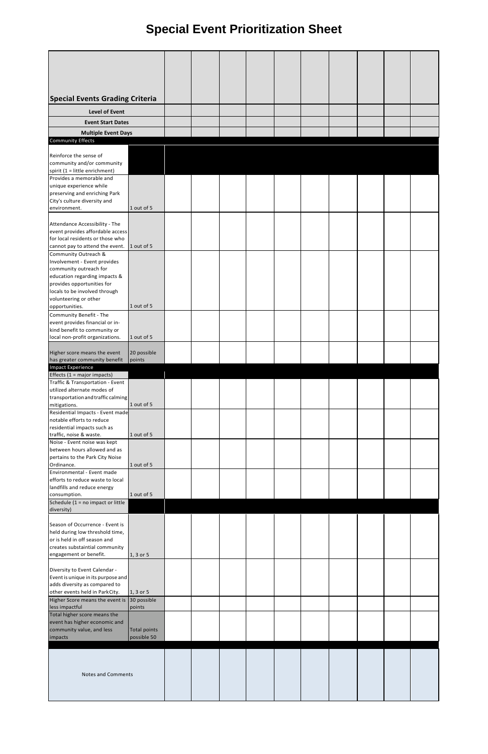## **Special Event Prioritization Sheet**

| <b>Special Events Grading Criteria</b>                                        |                     |  |  |  |  |  |
|-------------------------------------------------------------------------------|---------------------|--|--|--|--|--|
| <b>Level of Event</b><br><b>Event Start Dates</b>                             |                     |  |  |  |  |  |
| <b>Multiple Event Days</b>                                                    |                     |  |  |  |  |  |
| <b>Community Effects</b>                                                      |                     |  |  |  |  |  |
| Reinforce the sense of                                                        |                     |  |  |  |  |  |
| community and/or community<br>spirit (1 = little enrichment)                  |                     |  |  |  |  |  |
| Provides a memorable and                                                      |                     |  |  |  |  |  |
| unique experience while<br>preserving and enriching Park                      |                     |  |  |  |  |  |
| City's culture diversity and<br>environment.                                  | 1 out of 5          |  |  |  |  |  |
| Attendance Accessibility - The                                                |                     |  |  |  |  |  |
| event provides affordable access                                              |                     |  |  |  |  |  |
| for local residents or those who<br>cannot pay to attend the event.           | 1 out of 5          |  |  |  |  |  |
| Community Outreach &                                                          |                     |  |  |  |  |  |
| Involvement - Event provides<br>community outreach for                        |                     |  |  |  |  |  |
| education regarding impacts &                                                 |                     |  |  |  |  |  |
| provides opportunities for                                                    |                     |  |  |  |  |  |
| locals to be involved through<br>volunteering or other                        |                     |  |  |  |  |  |
| opportunities.                                                                | 1 out of 5          |  |  |  |  |  |
| Community Benefit - The<br>event provides financial or in-                    |                     |  |  |  |  |  |
| kind benefit to community or                                                  |                     |  |  |  |  |  |
| local non-profit organizations.                                               | 1 out of 5          |  |  |  |  |  |
| Higher score means the event                                                  | 20 possible         |  |  |  |  |  |
| has greater community benefit<br><b>Impact Experience</b>                     | points              |  |  |  |  |  |
| Effects (1 = major impacts)                                                   |                     |  |  |  |  |  |
|                                                                               |                     |  |  |  |  |  |
| Traffic & Transportation - Event                                              |                     |  |  |  |  |  |
| utilized alternate modes of<br>transportation and traffic calming             |                     |  |  |  |  |  |
| mitigations.                                                                  | 1 out of 5          |  |  |  |  |  |
| Residential Impacts - Event made<br>notable efforts to reduce                 |                     |  |  |  |  |  |
| residential impacts such as                                                   | 1 out of 5          |  |  |  |  |  |
| traffic, noise & waste.<br>Noise - Event noise was kept                       |                     |  |  |  |  |  |
| between hours allowed and as                                                  |                     |  |  |  |  |  |
| pertains to the Park City Noise<br>Ordinance.                                 | 1 out of 5          |  |  |  |  |  |
| Environmental - Event made                                                    |                     |  |  |  |  |  |
| efforts to reduce waste to local<br>landfills and reduce energy               |                     |  |  |  |  |  |
| consumption.                                                                  | 1 out of 5          |  |  |  |  |  |
| Schedule (1 = no impact or little<br>diversity)                               |                     |  |  |  |  |  |
|                                                                               |                     |  |  |  |  |  |
| Season of Occurrence - Event is<br>held during low threshold time,            |                     |  |  |  |  |  |
| or is held in off season and                                                  |                     |  |  |  |  |  |
| creates substaintial community<br>engagement or benefit.                      | 1, 3 or 5           |  |  |  |  |  |
|                                                                               |                     |  |  |  |  |  |
| Diversity to Event Calendar -<br>Event is unique in its purpose and           |                     |  |  |  |  |  |
| adds diversity as compared to                                                 |                     |  |  |  |  |  |
| other events held in ParkCity.<br>Higher Score means the event is 30 possible | 1, 3 or 5           |  |  |  |  |  |
| less impactful                                                                | points              |  |  |  |  |  |
| Total higher score means the<br>event has higher economic and                 |                     |  |  |  |  |  |
| community value, and less                                                     | <b>Total points</b> |  |  |  |  |  |
| impacts                                                                       | possible 50         |  |  |  |  |  |
|                                                                               |                     |  |  |  |  |  |
|                                                                               |                     |  |  |  |  |  |
| <b>Notes and Comments</b>                                                     |                     |  |  |  |  |  |
|                                                                               |                     |  |  |  |  |  |